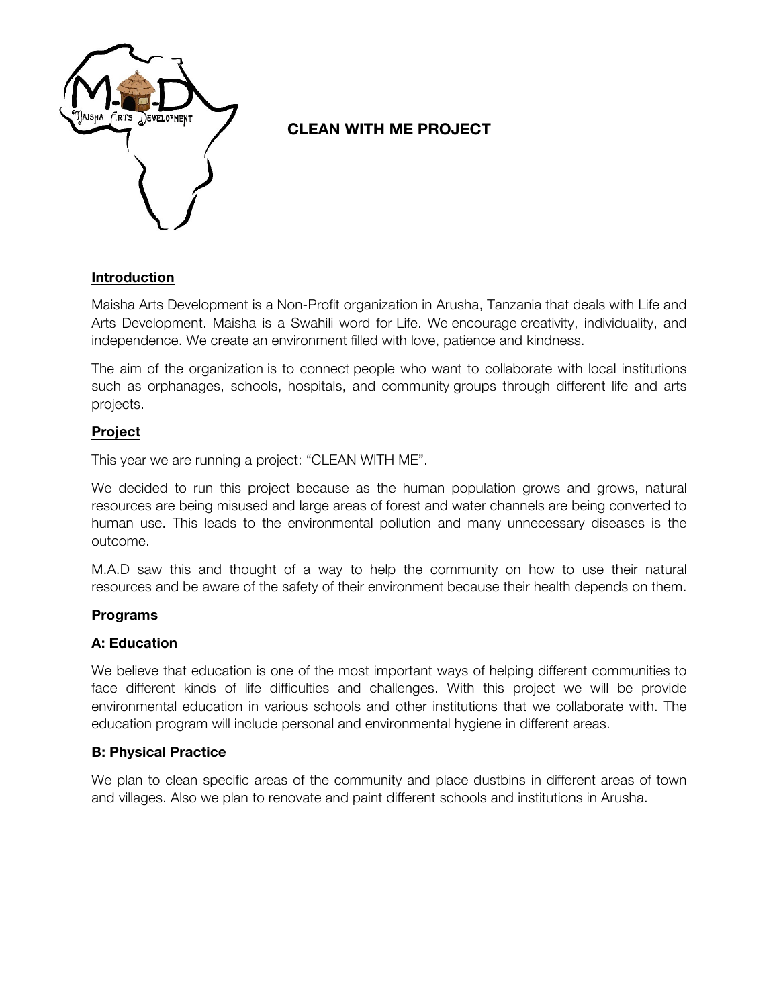

# **CLEAN WITH ME PROJECT**

# **Introduction**

Maisha Arts Development is a Non-Profit organization in Arusha, Tanzania that deals with Life and Arts Development. Maisha is a Swahili word for Life. We encourage creativity, individuality, and independence. We create an environment filled with love, patience and kindness.

The aim of the organization is to connect people who want to collaborate with local institutions such as orphanages, schools, hospitals, and community groups through different life and arts projects.

# **Project**

This year we are running a project: "CLEAN WITH ME".

We decided to run this project because as the human population grows and grows, natural resources are being misused and large areas of forest and water channels are being converted to human use. This leads to the environmental pollution and many unnecessary diseases is the outcome.

M.A.D saw this and thought of a way to help the community on how to use their natural resources and be aware of the safety of their environment because their health depends on them.

## **Programs**

## **A: Education**

We believe that education is one of the most important ways of helping different communities to face different kinds of life difficulties and challenges. With this project we will be provide environmental education in various schools and other institutions that we collaborate with. The education program will include personal and environmental hygiene in different areas.

## **B: Physical Practice**

We plan to clean specific areas of the community and place dustbins in different areas of town and villages. Also we plan to renovate and paint different schools and institutions in Arusha.